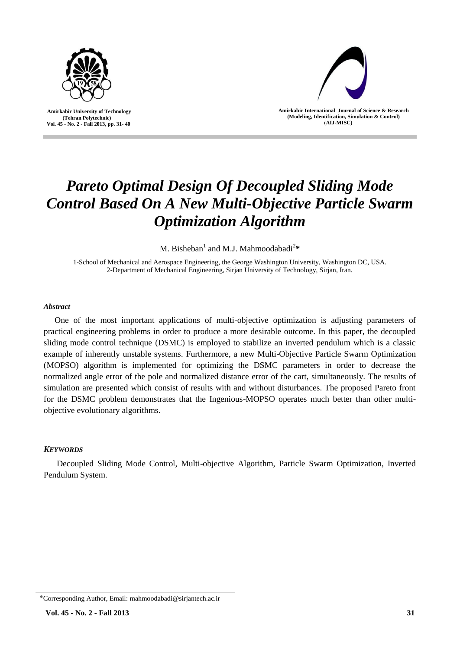

 **Amirkabir University of Technology (Tehran Polytechnic) Vol. 45 - No. 2 - Fall 2013, pp. 31- 40**



**Amirkabir International Journal of Science & Research (Modeling, Identification, Simulation & Control) )AIJ-MISC)**

# *Pareto Optimal Design Of Decoupled Sliding Mode Control Based On A New Multi-Objective Particle Swarm Optimization Algorithm*

M. Bisheban<sup>1</sup> and M.J. Mahmoodabadi<sup>2</sup>\*

1-School of Mechanical and Aerospace Engineering, the George Washington University, Washington DC, USA. 2-Department of Mechanical Engineering, Sirjan University of Technology, Sirjan, Iran.

## *Abstract*

One of the most important applications of multi-objective optimization is adjusting parameters of practical engineering problems in order to produce a more desirable outcome. In this paper, the decoupled sliding mode control technique (DSMC) is employed to stabilize an inverted pendulum which is a classic example of inherently unstable systems. Furthermore, a new Multi-Objective Particle Swarm Optimization (MOPSO) algorithm is implemented for optimizing the DSMC parameters in order to decrease the normalized angle error of the pole and normalized distance error of the cart, simultaneously. The results of simulation are presented which consist of results with and without disturbances. The proposed Pareto front for the DSMC problem demonstrates that the Ingenious-MOPSO operates much better than other multiobjective evolutionary algorithms.

# *KEYWORDS*

Decoupled Sliding Mode Control, Multi-objective Algorithm, Particle Swarm Optimization, Inverted Pendulum System.

<sup>٭</sup>Corresponding Author, Email: mahmoodabadi@sirjantech.ac.ir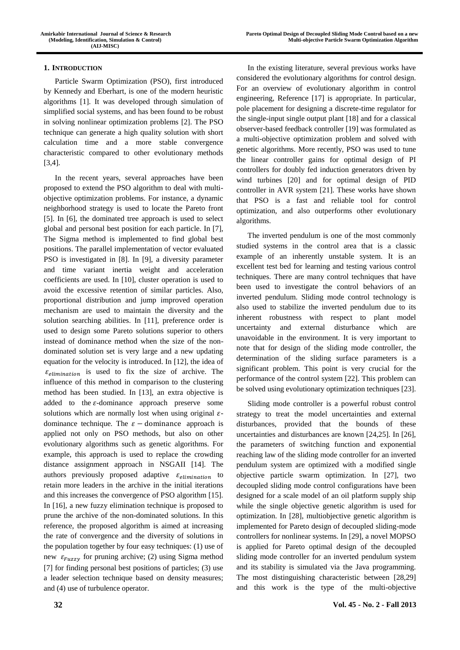## **1. INTRODUCTION**

Particle Swarm Optimization (PSO), first introduced by Kennedy and Eberhart, is one of the modern heuristic algorithms [1]. It was developed through simulation of simplified social systems, and has been found to be robust in solving nonlinear optimization problems [2]. The PSO technique can generate a high quality solution with short calculation time and a more stable convergence characteristic compared to other evolutionary methods [3,4].

In the recent years, several approaches have been proposed to extend the PSO algorithm to deal with multiobjective optimization problems. For instance, a dynamic neighborhood strategy is used to locate the Pareto front [5]. In [6], the dominated tree approach is used to select global and personal best position for each particle. In [7], The Sigma method is implemented to find global best positions. The parallel implementation of vector evaluated PSO is investigated in [8]. In [9], a diversity parameter and time variant inertia weight and acceleration coefficients are used. In [10], cluster operation is used to avoid the excessive retention of similar particles. Also, proportional distribution and jump improved operation mechanism are used to maintain the diversity and the solution searching abilities. In [11], preference order is used to design some Pareto solutions superior to others instead of dominance method when the size of the nondominated solution set is very large and a new updating equation for the velocity is introduced. In [12], the idea of  $\varepsilon_{elimination}$  is used to fix the size of archive. The influence of this method in comparison to the clustering method has been studied. In [13], an extra objective is added to the  $\varepsilon$ -dominance approach preserve some solutions which are normally lost when using original  $\varepsilon$ dominance technique. The  $\varepsilon$  – dominance approach is applied not only on PSO methods, but also on other evolutionary algorithms such as genetic algorithms. For example, this approach is used to replace the crowding distance assignment approach in NSGAII [14]. The authors previously proposed adaptive  $\varepsilon_{elimination}$  to retain more leaders in the archive in the initial iterations and this increases the convergence of PSO algorithm [15]. In [16], a new fuzzy elimination technique is proposed to prune the archive of the non-dominated solutions. In this reference, the proposed algorithm is aimed at increasing the rate of convergence and the diversity of solutions in the population together by four easy techniques: (1) use of new  $\varepsilon_{Fuzzy}$  for pruning archive; (2) using Sigma method [7] for finding personal best positions of particles; (3) use a leader selection technique based on density measures; and (4) use of turbulence operator.

In the existing literature, several previous works have considered the evolutionary algorithms for control design. For an overview of evolutionary algorithm in control engineering, Reference [17] is appropriate. In particular, pole placement for designing a discrete-time regulator for the single-input single output plant [18] and for a classical observer-based feedback controller [19] was formulated as a multi-objective optimization problem and solved with genetic algorithms. More recently, PSO was used to tune the linear controller gains for optimal design of PI controllers for doubly fed induction generators driven by wind turbines [20] and for optimal design of PID controller in AVR system [21]. These works have shown that PSO is a fast and reliable tool for control optimization, and also outperforms other evolutionary algorithms.

The inverted pendulum is one of the most commonly studied systems in the control area that is a classic example of an inherently unstable system. It is an excellent test bed for learning and testing various control techniques. There are many control techniques that have been used to investigate the control behaviors of an inverted pendulum. Sliding mode control technology is also used to stabilize the inverted pendulum due to its inherent robustness with respect to plant model uncertainty and external disturbance which are unavoidable in the environment. It is very important to note that for design of the sliding mode controller, the determination of the sliding surface parameters is a significant problem. This point is very crucial for the performance of the control system [22]. This problem can be solved using evolutionary optimization techniques [23].

Sliding mode controller is a powerful robust control strategy to treat the model uncertainties and external disturbances, provided that the bounds of these uncertainties and disturbances are known [24,25]. In [26], the parameters of switching function and exponential reaching law of the sliding mode controller for an inverted pendulum system are optimized with a modified single objective particle swarm optimization. In [27], two decoupled sliding mode control configurations have been designed for a scale model of an oil platform supply ship while the single objective genetic algorithm is used for optimization. In [28], multiobjective genetic algorithm is implemented for Pareto design of decoupled sliding-mode controllers for nonlinear systems. In [29], a novel MOPSO is applied for Pareto optimal design of the decoupled sliding mode controller for an inverted pendulum system and its stability is simulated via the Java programming. The most distinguishing characteristic between [28,29] and this work is the type of the multi-objective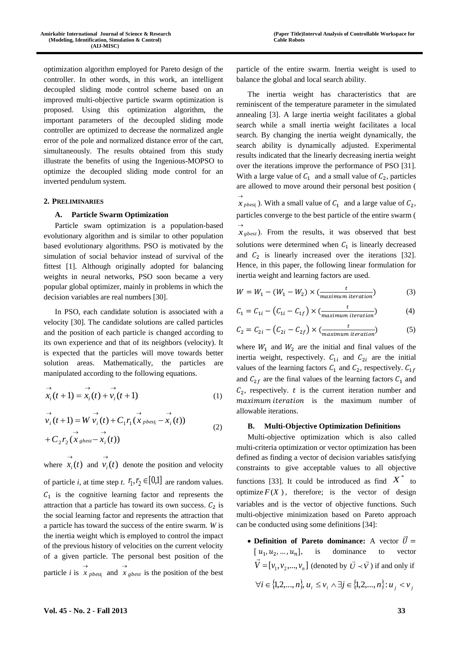optimization algorithm employed for Pareto design of the controller. In other words, in this work, an intelligent decoupled sliding mode control scheme based on an improved multi-objective particle swarm optimization is proposed. Using this optimization algorithm, the important parameters of the decoupled sliding mode controller are optimized to decrease the normalized angle error of the pole and normalized distance error of the cart, simultaneously. The results obtained from this study illustrate the benefits of using the Ingenious-MOPSO to optimize the decoupled sliding mode control for an inverted pendulum system.

### **2. PRELIMINARIES**

## **A. Particle Swarm Optimization**

Particle swam optimization is a population-based evolutionary algorithm and is similar to other population based evolutionary algorithms. PSO is motivated by the simulation of social behavior instead of survival of the fittest [1]. Although originally adopted for balancing weights in neural networks, PSO soon became a very popular global optimizer, mainly in problems in which the decision variables are real numbers [30].

In PSO, each candidate solution is associated with a velocity [30]. The candidate solutions are called particles and the position of each particle is changed according to its own experience and that of its neighbors (velocity). It is expected that the particles will move towards better solution areas. Mathematically, the particles are manipulated according to the following equations.

$$
\overrightarrow{x_i}(t+1) = \overrightarrow{x_i}(t) + \overrightarrow{v_i}(t+1)
$$
\n(1)

$$
\overrightarrow{v_i}(t+1) = W \overrightarrow{v_i}(t) + C_1 r_1 (\overrightarrow{x}_{\text{pbest}} - \overrightarrow{x_i}(t)) + C_2 r_2 (\overrightarrow{x}_{\text{pbest}} - \overrightarrow{x_i}(t))
$$
\n(2)

where  $x_i(t)$  $\rightarrow$ and  $v_i(t)$  $\rightarrow$ denote the position and velocity of particle *i*, at time step *t*.  $r_1, r_2 \in [0,1]$  are random values.  $C_1$  is the cognitive learning factor and represents the attraction that a particle has toward its own success.  $C_2$  is the social learning factor and represents the attraction that a particle has toward the success of the entire swarm. *W* is the inertia weight which is employed to control the impact of the previous history of velocities on the current velocity of a given particle. The personal best position of the particle *i* is  $\overrightarrow{x}$  *pbest*<sub>i</sub> and  $\overrightarrow{x}$  *gbest* is the position of the best particle of the entire swarm. Inertia weight is used to balance the global and local search ability.

The inertia weight has characteristics that are reminiscent of the temperature parameter in the simulated annealing [3]. A large inertia weight facilitates a global search while a small inertia weight facilitates a local search. By changing the inertia weight dynamically, the search ability is dynamically adjusted. Experimental results indicated that the linearly decreasing inertia weight over the iterations improve the performance of PSO [31]. With a large value of  $C_1$  and a small value of  $C_2$ , particles are allowed to move around their personal best position (  $\rightarrow$ 

 $x_{\text{pbest}}$ ). With a small value of  $C_1$  and a large value of  $C_2$ , particles converge to the best particle of the entire swarm (  $\overrightarrow{x}_{g \text{ best}}$ ). From the results, it was observed that best solutions were determined when  $C_1$  is linearly decreased

and  $C_2$  is linearly increased over the iterations [32]. Hence, in this paper, the following linear formulation for inertia weight and learning factors are used.

$$
W = W_1 - (W_1 - W_2) \times \left(\frac{t}{\text{maximum iteration}}\right) \tag{3}
$$

$$
C_1 = C_{1i} - (C_{1i} - C_{1f}) \times \left(\frac{t}{maximum\ iteration}\right) \tag{4}
$$

$$
C_2 = C_{2i} - (C_{2i} - C_{2f}) \times \left(\frac{t}{maximum\ iteration}\right)
$$
 (5)

where  $W_1$  and  $W_2$  are the initial and final values of the inertia weight, respectively.  $C_{1i}$  and  $C_{2i}$  are the initial values of the learning factors  $C_1$  and  $C_2$ , respectively.  $C_{1f}$ and  $C_{2f}$  are the final values of the learning factors  $C_1$  and  $C_2$ , respectively.  $t$  is the current iteration number and maximum iteration is the maximum number of allowable iterations.

#### **B. Multi-Objective Optimization Definitions**

Multi-objective optimization which is also called multi-criteria optimization or vector optimization has been defined as finding a vector of decision variables satisfying constraints to give acceptable values to all objective functions [33]. It could be introduced as find  $X^*$  to optimize  $F(X)$ , therefore; is the vector of design variables and is the vector of objective functions. Such multi-objective minimization based on Pareto approach can be conducted using some definitions [34]:

• **Definition of Pareto dominance:** A vector  $\vec{U}$  =  $[u_1, u_2]$ is dominance to vector  $V = [v_1, v_2, ..., v_n]$  $\overline{\phantom{a}}$ (denoted by  $\vec{U} \prec \vec{V}$  $\overline{\phantom{a}}$  $\prec$  $\vec{U} \prec \vec{V}$  ) if and only if  $\forall i \in \{1, 2, ..., n\}, u_i \leq v_i \land \exists j \in \{1, 2, ..., n\} : u_i < v_j$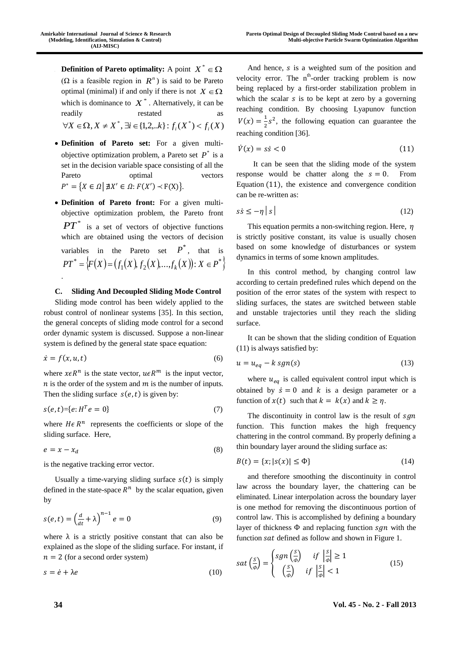- **Definition of Pareto optimality:** A point  $X^* \in \Omega$  $(\Omega)$  is a feasible region in  $R^n$ ) is said to be Pareto optimal (minimal) if and only if there is not  $X \in \Omega$ which is dominance to  $X^*$ . Alternatively, it can be readily restated  $\forall X \in \Omega, X \neq X^*$ ,  $\exists i \in \{1, 2, \dots k\} : f_i(X^*) < f_i(X)$
- **Definition of Pareto set:** For a given multiobjective optimization problem, a Pareto set  $P^*$  is a set in the decision variable space consisting of all the Pareto optimal vectors  $P^* = \{X \in \Omega \mid \exists X' \in \Omega : F(X') \prec F(X)\}.$
- **Definition of Pareto front:** For a given multiobjective optimization problem, the Pareto front  $PT^*$  is a set of vectors of objective functions which are obtained using the vectors of decision variables in the Pareto set  $P^*$ , that is  $\{F(X) = (f_1(X), f_2(X), \ldots, f_k(X)) : X \in P^*\}$  $1^{(4)}$ ,  $1^{2}$  $PT^* = \{F(X) = (f_1(X), f_2(X), \ldots, f_k(X)) : X \in P\}$ .

## **C. Sliding And Decoupled Sliding Mode Control**

Sliding mode control has been widely applied to the robust control of nonlinear systems [35]. In this section, the general concepts of sliding mode control for a second order dynamic system is discussed. Suppose a non-linear system is defined by the general state space equation:

$$
\dot{x} = f(x, u, t) \tag{6}
$$

where  $x \in R^n$  is the state vector,  $u \in R^m$  is the input vector,  $n$  is the order of the system and  $m$  is the number of inputs. Then the sliding surface  $s(e,t)$  is given by:

$$
s(e, t) = \{e : H^T e = 0\}
$$
 (7)

where  $He$   $R<sup>n</sup>$  represents the coefficients or slope of the sliding surface. Here,

$$
e = x - x_d \tag{8}
$$

is the negative tracking error vector.

Usually a time-varying sliding surface  $s(t)$  is simply defined in the state-space  $R^n$  by the scalar equation, given by

$$
s(e,t) = \left(\frac{d}{dt} + \lambda\right)^{n-1} e = 0
$$
\n(9)

where  $\lambda$  is a strictly positive constant that can also be explained as the slope of the sliding surface. For instant, if  $n = 2$  (for a second order system)

$$
s = \dot{e} + \lambda e \tag{10}
$$

And hence,  $s$  is a weighted sum of the position and velocity error. The  $n^{th}$ -order tracking problem is now being replaced by a first-order stabilization problem in which the scalar  $s$  is to be kept at zero by a governing reaching condition. By choosing Lyapunov function  $V(x) = \frac{1}{x}$  $\frac{1}{2}$  s<sup>2</sup>, the following equation can guarantee the reaching condition [36].

$$
\dot{V}(x) = s\dot{s} < 0 \tag{11}
$$

It can be seen that the sliding mode of the system response would be chatter along the  $s = 0$ . From Equation (11), the existence and convergence condition can be re-written as:

$$
s\dot{s} \le -\eta \, | \, s \, | \tag{12}
$$

This equation permits a non-switching region. Here,  $\eta$ is strictly positive constant, its value is usually chosen based on some knowledge of disturbances or system dynamics in terms of some known amplitudes.

In this control method, by changing control law according to certain predefined rules which depend on the position of the error states of the system with respect to sliding surfaces, the states are switched between stable and unstable trajectories until they reach the sliding surface.

It can be shown that the sliding condition of Equation (11) is always satisfied by:

$$
u = u_{eq} - k \, sgn(s) \tag{13}
$$

where  $u_{eq}$  is called equivalent control input which is obtained by  $\dot{s} = 0$  and k is a design parameter or a function of  $x(t)$  such that  $k = k(x)$  and  $k \geq \eta$ .

The discontinuity in control law is the result of  $sgn$ function. This function makes the high frequency chattering in the control command. By properly defining a thin boundary layer around the sliding surface as:

$$
B(t) = \{x; |s(x)| \le \Phi\}
$$
 (14)

and therefore smoothing the discontinuity in control law across the boundary layer, the chattering can be eliminated. Linear interpolation across the boundary layer is one method for removing the discontinuous portion of control law. This is accomplished by defining a boundary layer of thickness  $\Phi$  and replacing function  $sgn$  with the function sat defined as follow and shown in Figure 1.

$$
sat\left(\frac{s}{\phi}\right) = \begin{cases} sgn\left(\frac{s}{\phi}\right) & \text{if } \left|\frac{s}{\phi}\right| \ge 1\\ \left(\frac{s}{\phi}\right) & \text{if } \left|\frac{s}{\phi}\right| < 1 \end{cases}
$$
(15)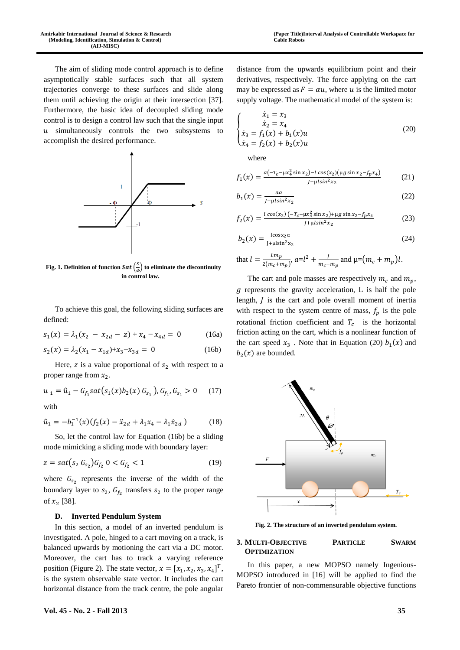The aim of sliding mode control approach is to define asymptotically stable surfaces such that all system trajectories converge to these surfaces and slide along them until achieving the origin at their intersection [37]. Furthermore, the basic idea of decoupled sliding mode control is to design a control law such that the single input  $u$  simultaneously controls the two subsystems to accomplish the desired performance.



**Fig. 1. Definition of function Sat**  $\left(\frac{s}{a}\right)$ *Ф* ) **to eliminate the discontinuity in control law.**

To achieve this goal, the following sliding surfaces are defined:

$$
s_1(x) = \lambda_1(x_2 - x_{2d} - z) + x_4 - x_{4d} = 0
$$
 (16a)

$$
s_2(x) = \lambda_2 (x_1 - x_{1d}) + x_3 - x_{3d} = 0
$$
 (16b)

Here,  $z$  is a value proportional of  $s_2$  with respect to a proper range from  $x_2$ .

$$
u_1 = \hat{u}_1 - G_{f_1} sat(s_1(x) b_2(x) G_{s_1}), G_{f_1}, G_{s_1} > 0 \quad (17)
$$

with

$$
\hat{u}_1 = -b_1^{-1}(x)(f_2(x) - \ddot{x}_{2d} + \lambda_1 x_4 - \lambda_1 \dot{x}_{2d})
$$
\n(18)

So, let the control law for Equation (16b) be a sliding mode mimicking a sliding mode with boundary layer:

$$
z = sat(s_2 \ G_{s_2}) G_{f_2} \ 0 < G_{f_2} < 1 \tag{19}
$$

where  $G_{s_2}$  represents the inverse of the width of the boundary layer to  $s_2$ ,  $G_{f_2}$  transfers  $s_2$  to the proper range of  $x_2$  [38].

### **D. Inverted Pendulum System**

In this section, a model of an inverted pendulum is investigated. A pole, hinged to a cart moving on a track, is balanced upwards by motioning the cart via a DC motor. Moreover, the cart has to track a varying reference position (Figure 2). The state vector,  $x = [x_1, x_2, x_3, x_4]^T$ , is the system observable state vector. It includes the cart horizontal distance from the track centre, the pole angular

distance from the upwards equilibrium point and their derivatives, respectively. The force applying on the cart may be expressed as  $F = \alpha u$ , where u is the limited motor supply voltage. The mathematical model of the system is:

$$
\begin{cases}\n\dot{x}_1 = x_3 \\
\dot{x}_2 = x_4 \\
\dot{x}_3 = f_1(x) + b_1(x)u \\
\dot{x}_4 = f_2(x) + b_2(x)u\n\end{cases}
$$
\n(20)

where

$$
f_1(x) = \frac{a(-r_c - \mu x_4^2 \sin x_2) - l \cos(x_2)(\mu g \sin x_2 - f_p x_4)}{J + \mu l \sin^2 x_2}
$$
(21)

$$
b_1(x) = \frac{a\alpha}{J + \mu l \sin^2 x_2} \tag{22}
$$

$$
f_2(x) = \frac{l \cos(x_2) (-r_c - \mu x_4^2 \sin x_2) + \mu g \sin x_2 - f_p x_4}{J + \mu l \sin^2 x_2}
$$
(23)

$$
b_2(x) = \frac{\log x_2 \alpha}{1 + \mu \sin^2 x_2} \tag{24}
$$

that 
$$
l = \frac{Lm_p}{2(m_c + m_p)}
$$
,  $a=l^2 + \frac{J}{m_c + m_p}$  and  $\mu = (m_c + m_p)l$ .

The cart and pole masses are respectively  $m_c$  and  $m_p$ ,  *represents the gravity acceleration, L is half the pole* length, *J* is the cart and pole overall moment of inertia with respect to the system centre of mass,  $f_n$  is the pole rotational friction coefficient and  $T_c$  is the horizontal friction acting on the cart, which is a nonlinear function of the cart speed  $x_3$ . Note that in Equation (20)  $b_1(x)$  and  $b_2(x)$  are bounded.



**Fig. 2. The structure of an inverted pendulum system.**

### **3. MULTI-OBJECTIVE PARTICLE SWARM OPTIMIZATION**

In this paper, a new MOPSO namely Ingenious-MOPSO introduced in [16] will be applied to find the Pareto frontier of non-commensurable objective functions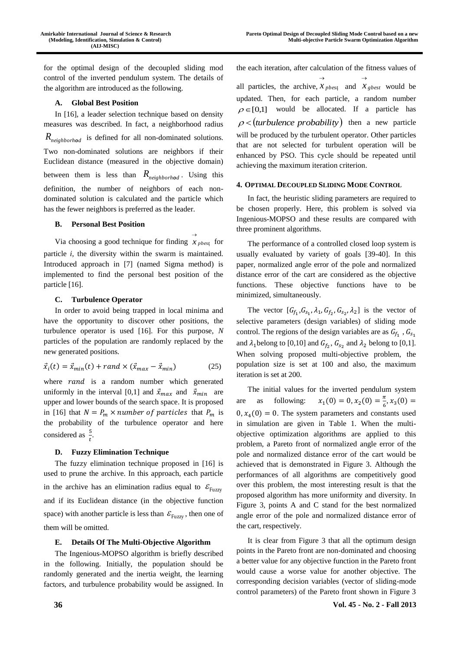for the optimal design of the decoupled sliding mod control of the inverted pendulum system. The details of the algorithm are introduced as the following.

## **A. Global Best Position**

In [16], a leader selection technique based on density measures was described. In fact, a neighborhood radius *Rneighborhod* is defined for all non-dominated solutions. Two non-dominated solutions are neighbors if their Euclidean distance (measured in the objective domain) between them is less than *Rneighborhod* . Using this definition, the number of neighbors of each nondominated solution is calculated and the particle which has the fewer neighbors is preferred as the leader.

### **B. Personal Best Position**

Via choosing a good technique for finding  $x_{\text{pbest}}$  for  $\rightarrow$ particle *i*, the diversity within the swarm is maintained. Introduced approach in [7] (named Sigma method) is implemented to find the personal best position of the particle [16].

## **C. Turbulence Operator**

In order to avoid being trapped in local minima and have the opportunity to discover other positions, the turbulence operator is used [16]. For this purpose, *N* particles of the population are randomly replaced by the new generated positions.

$$
\vec{x}_i(t) = \vec{x}_{min}(t) + rand \times (\vec{x}_{max} - \vec{x}_{min})
$$
\n(25)

where  $rand$  is a random number which generated uniformly in the interval [0,1] and  $\vec{x}_{max}$  and  $\vec{x}_{min}$  are upper and lower bounds of the search space. It is proposed in [16] that  $N = P_m \times number$  of particles that  $P_m$  is the probability of the turbulence operator and here considered as  $\frac{5}{t}$ .

## **D. Fuzzy Elimination Technique**

The fuzzy elimination technique proposed in [16] is used to prune the archive. In this approach, each particle in the archive has an elimination radius equal to  $\mathcal{E}_{\text{Fuzzy}}$ and if its Euclidean distance (in the objective function space) with another particle is less than  $\mathcal{E}_{\text{Fuzzy}}$ , then one of them will be omitted.

### **E. Details Of The Multi-Objective Algorithm**

The Ingenious-MOPSO algorithm is briefly described in the following. Initially, the population should be randomly generated and the inertia weight, the learning factors, and turbulence probability would be assigned. In

the each iteration, after calculation of the fitness values of all particles, the archive,  $x_{\text{pbest}}$  and  $x_{\text{gbest}}$  would be  $\rightarrow$  $\rightarrow$ updated. Then, for each particle, a random number  $\rho \in [0,1]$  would be allocated. If a particle has  $\rho$  < (turbulence probability) then a new particle will be produced by the turbulent operator. Other particles that are not selected for turbulent operation will be enhanced by PSO. This cycle should be repeated until achieving the maximum iteration criterion.

### **4. OPTIMAL DECOUPLED SLIDING MODE CONTROL**

In fact, the heuristic sliding parameters are required to be chosen properly. Here, this problem is solved via Ingenious-MOPSO and these results are compared with three prominent algorithms.

The performance of a controlled closed loop system is usually evaluated by variety of goals [39-40]. In this paper, normalized angle error of the pole and normalized distance error of the cart are considered as the objective functions. These objective functions have to be minimized, simultaneously.

The vector  $[G_{f_1}, G_{s_1}, \lambda_1, G_{f_2}, G_{s_2}, \lambda_2]$  is the vector of selective parameters (design variables) of sliding mode control. The regions of the design variables are as  $G_{f_1}$ ,  $G_{s_1}$ and  $\lambda_1$  belong to [0,10] and  $G_{f_2}$ ,  $G_{s_2}$  and  $\lambda_2$  belong to [0,1]. When solving proposed multi-objective problem, the population size is set at 100 and also, the maximum iteration is set at 200.

The initial values for the inverted pendulum system are as following:  $x_1(0) = 0, x_2(0) = \frac{\pi}{6}$  $\frac{\pi}{6}$ ,  $x_3(0) =$  $0, x_4(0) = 0$ . The system parameters and constants used in simulation are given in Table 1. When the multiobjective optimization algorithms are applied to this problem, a Pareto front of normalized angle error of the pole and normalized distance error of the cart would be achieved that is demonstrated in Figure 3. Although the performances of all algorithms are competitively good over this problem, the most interesting result is that the proposed algorithm has more uniformity and diversity. In Figure 3, points A and C stand for the best normalized angle error of the pole and normalized distance error of the cart, respectively.

It is clear from Figure 3 that all the optimum design points in the Pareto front are non-dominated and choosing a better value for any objective function in the Pareto front would cause a worse value for another objective. The corresponding decision variables (vector of sliding-mode control parameters) of the Pareto front shown in Figure 3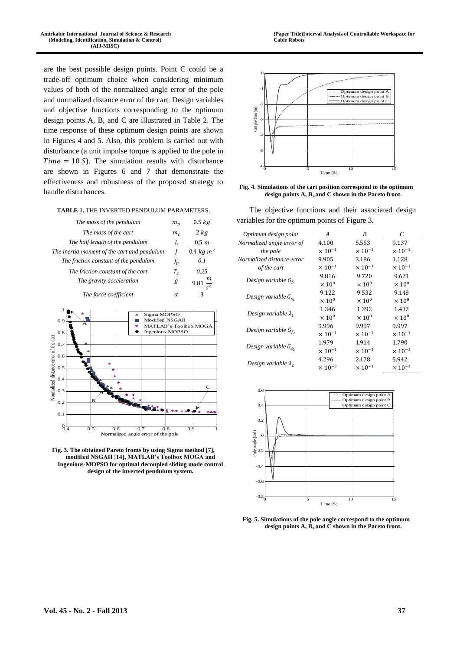are the best possible design points. Point C could be a trade-off optimum choice when considering minimum values of both of the normalized angle error of the pole and normalized distance error of the cart. Design variables and objective functions corresponding to the optimum design points A, B, and C are illustrated in Table 2. The time response of these optimum design points are shown in Figures 4 and 5. Also, this problem is carried out with disturbance (a unit impulse torque is applied to the pole in  $Time = 10 S$ ). The simulation results with disturbance are shown in Figures 6 and 7 that demonstrate the effectiveness and robustness of the proposed strategy to handle disturbances.

#### **TABLE 1.** THE INVERTED PENDULUM PARAMETERS.

| The mass of the pendulum                    | $m_n$          | $0.5$ $kg$      |
|---------------------------------------------|----------------|-----------------|
| The mass of the cart                        | m <sub>c</sub> | $2$ $kg$        |
| The half length of the pendulum             | L              | 0.5 m           |
| The inertia moment of the cart and pendulum |                | 0.4 $kg m^2$    |
| The friction constant of the pendulum       | $f_p$          | 0.1             |
| The friction constant of the cart           | $T_c$          | 0.25            |
| The gravity acceleration                    | g              | $\frac{m}{s^2}$ |
| The force coefficient                       | α              | 3               |



**Fig. 3. The obtained Pareto fronts by using Sigma method [7], modified NSGAII [14], MATLAB's Toolbox MOGA and Ingenious-MOPSO for optimal decoupled sliding mode control design of the inverted pendulum system.**





The objective functions and their associated design variables for the optimum points of Figure 3.

| Optimum design point        | A                         | B                         | C                         |
|-----------------------------|---------------------------|---------------------------|---------------------------|
| Normalized angle error of   | 4.100                     | 5.553                     | 9.137                     |
| the pole                    | $\times$ 10 <sup>-1</sup> | $\times$ 10 <sup>-1</sup> | $\times$ 10 <sup>-1</sup> |
| Normalized distance error   | 9.905                     | 3.186                     | 1.128                     |
| of the cart                 | $\times$ 10 <sup>-1</sup> | $\times$ 10 <sup>-1</sup> | $\times$ 10 <sup>-1</sup> |
| Design variable $G_{f_1}$   | 9.816                     | 9.720                     | 9.621                     |
|                             | $\times 10^{0}$           | $\times 10^{0}$           | $\times 10^{0}$           |
| Design variable $G_{s_1}$   | 9.122                     | 9.532                     | 9.148                     |
|                             | $\times 10^{0}$           | $\times 10^{0}$           | $\times 10^{0}$           |
|                             | 1.346<br>1.392            | 1.432                     |                           |
| Design variable $\lambda_1$ | $\times 10^{0}$           | $\times 10^{0}$           | $\times 10^{0}$           |
|                             | 9.996                     | 9.997                     | 9.997                     |
| Design variable $G_{f_2}$   | $\times$ 10 <sup>-1</sup> | $\times$ 10 <sup>-1</sup> | $\times$ 10 <sup>-1</sup> |
| Design variable $G_{s_n}$   | 1.979                     | 1.914                     | 1.790                     |
|                             | $\times$ 10 <sup>-1</sup> | $\times 10^{-1}$          | $\times 10^{-1}$          |
| Design variable $\lambda_2$ | 4.296                     | 2.178                     | 5.942                     |
|                             | $\times$ 10 <sup>-3</sup> | $\times$ 10 <sup>-1</sup> | $\times$ 10 <sup>-1</sup> |



**Fig. 5. Simulations of the pole angle correspond to the optimum design points A, B, and C shown in the Pareto front.**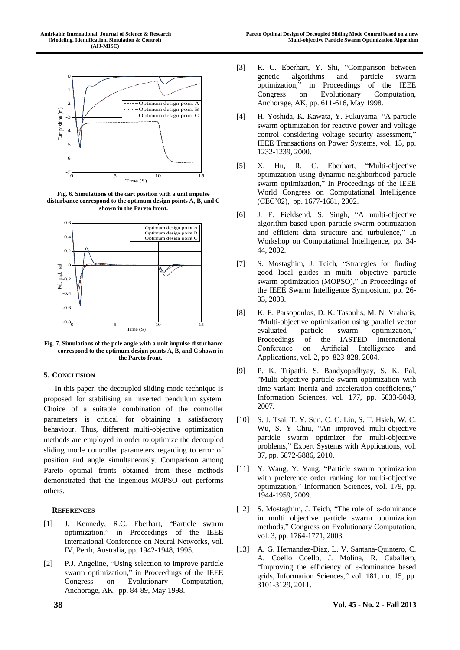

**Fig. 6. Simulations of the cart position with a unit impulse disturbance correspond to the optimum design points A, B, and C shown in the Pareto front.**



**Fig. 7. Simulations of the pole angle with a unit impulse disturbance correspond to the optimum design points A, B, and C shown in the Pareto front.**

## **5. CONCLUSION**

In this paper, the decoupled sliding mode technique is proposed for stabilising an inverted pendulum system. Choice of a suitable combination of the controller parameters is critical for obtaining a satisfactory behaviour. Thus, different multi-objective optimization methods are employed in order to optimize the decoupled sliding mode controller parameters regarding to error of position and angle simultaneously. Comparison among Pareto optimal fronts obtained from these methods demonstrated that the Ingenious-MOPSO out performs others.

## **REFERENCES**

- [1] J. Kennedy, R.C. Eberhart, "Particle swarm optimization," in Proceedings of the IEEE International Conference on Neural Networks, vol. IV, Perth, Australia, pp. 1942-1948, 1995.
- [2] P.J. Angeline, "Using selection to improve particle swarm optimization," in Proceedings of the IEEE Congress on Evolutionary Computation, Anchorage, AK, pp. 84-89, May 1998.
- [3] R. C. Eberhart, Y. Shi, "Comparison between genetic algorithms and particle swarm optimization," in Proceedings of the IEEE Congress on Evolutionary Computation, Anchorage, AK, pp. 611-616, May 1998.
- [4] H. Yoshida, K. Kawata, Y. Fukuyama, "A particle swarm optimization for reactive power and voltage control considering voltage security assessment," IEEE Transactions on Power Systems, vol. 15, pp. 1232-1239, 2000.
- [5] X. Hu, R. C. Eberhart, "Multi-objective optimization using dynamic neighborhood particle swarm optimization," In Proceedings of the IEEE World Congress on Computational Intelligence (CEC'02), pp. 1677-1681, 2002.
- [6] J. E. Fieldsend, S. Singh, "A multi-objective algorithm based upon particle swarm optimization and efficient data structure and turbulence," In Workshop on Computational Intelligence, pp. 34- 44, 2002.
- [7] S. Mostaghim, J. Teich, "Strategies for finding good local guides in multi- objective particle swarm optimization (MOPSO)," In Proceedings of the IEEE Swarm Intelligence Symposium, pp. 26- 33, 2003.
- [8] K. E. Parsopoulos, D. K. Tasoulis, M. N. Vrahatis, "Multi-objective optimization using parallel vector evaluated particle swarm optimization," Proceedings of the IASTED International Conference on Artificial Intelligence and Applications, vol. 2, pp. 823-828, 2004.
- [9] P. K. Tripathi, S. Bandyopadhyay, S. K. Pal, "Multi-objective particle swarm optimization with time variant inertia and acceleration coefficients," Information Sciences, vol. 177, pp. 5033-5049, 2007.
- [10] S. J. Tsai, T. Y. Sun, C. C. Liu, S. T. Hsieh, W. C. Wu, S. Y Chiu, "An improved multi-objective particle swarm optimizer for multi-objective problems," Expert Systems with Applications, vol. 37, pp. 5872-5886, 2010.
- [11] Y. Wang, Y. Yang, "Particle swarm optimization with preference order ranking for multi-objective optimization," Information Sciences, vol. 179, pp. 1944-1959, 2009.
- [12] S. Mostaghim, J. Teich, "The role of ε-dominance in multi objective particle swarm optimization methods," Congress on Evolutionary Computation, vol. 3, pp. 1764-1771, 2003.
- [13] A. G. Hernandez-Diaz, L. V. Santana-Quintero, C. A. Coello Coello, J. Molina, R. Caballero, "Improving the efficiency of ε-dominance based grids, Information Sciences," vol. 181, no. 15, pp. 3101-3129, 2011.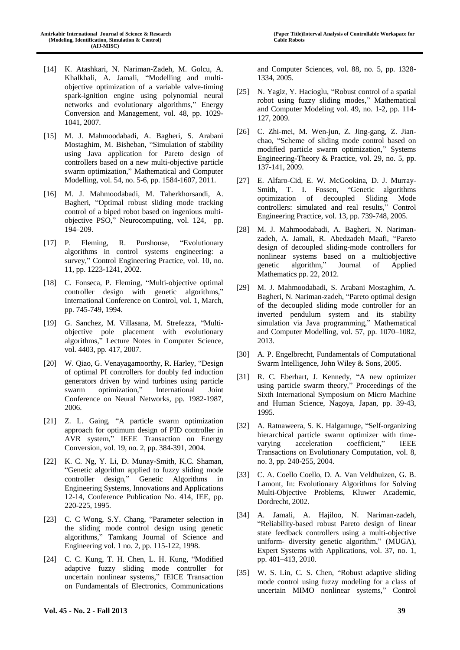- [14] K. Atashkari, N. Nariman-Zadeh, M. Golcu, A. Khalkhali, A. Jamali, "Modelling and multiobjective optimization of a variable valve-timing spark-ignition engine using polynomial neural networks and evolutionary algorithms," Energy Conversion and Management, vol. 48, pp. 1029- 1041, 2007.
- [15] M. J. Mahmoodabadi, A. Bagheri, S. Arabani Mostaghim, M. Bisheban, "Simulation of stability using Java application for Pareto design of controllers based on a new multi-objective particle swarm optimization," Mathematical and Computer Modelling, vol. 54, no. 5-6, pp. 1584-1607, 2011.
- [16] M. J. Mahmoodabadi, M. Taherkhorsandi, A. Bagheri, "Optimal robust sliding mode tracking control of a biped robot based on ingenious multiobjective PSO," Neurocomputing, vol. 124, pp. 194–209.
- [17] P. Fleming, R. Purshouse, "Evolutionary algorithms in control systems engineering: a survey," Control Engineering Practice, vol. 10, no. 11, pp. 1223-1241, 2002.
- [18] C. Fonseca, P. Fleming, "Multi-objective optimal controller design with genetic algorithms," International Conference on Control, vol. 1, March, pp. 745-749, 1994.
- [19] G. Sanchez, M. Villasana, M. Strefezza, "Multiobjective pole placement with evolutionary algorithms," Lecture Notes in Computer Science, vol. 4403, pp. 417, 2007.
- [20] W. Qiao, G. Venayagamoorthy, R. Harley, "Design of optimal PI controllers for doubly fed induction generators driven by wind turbines using particle swarm optimization," International Joint Conference on Neural Networks, pp. 1982-1987, 2006.
- [21] Z. L. Gaing, "A particle swarm optimization approach for optimum design of PID controller in AVR system," IEEE Transaction on Energy Conversion, vol. 19, no. 2, pp. 384-391, 2004.
- [22] K. C. Ng, Y. Li, D. Munay-Smith, K.C. Shaman, "Genetic algorithm applied to fuzzy sliding mode controller design," Genetic Algorithms in Engineering Systems, Innovations and Applications 12-14, Conference Publication No. 414, IEE, pp. 220-225, 1995.
- [23] C. C Wong, S.Y. Chang, "Parameter selection in the sliding mode control design using genetic algorithms," Tamkang Journal of Science and Engineering vol. 1 no. 2, pp. 115-122, 1998.
- [24] C. C. Kung, T. H. Chen, L. H. Kung, "Modified adaptive fuzzy sliding mode controller for uncertain nonlinear systems," IEICE Transaction on Fundamentals of Electronics, Communications

and Computer Sciences, vol. 88, no. 5, pp. 1328- 1334, 2005.

- [25] N. Yagiz, Y. Hacioglu, "Robust control of a spatial robot using fuzzy sliding modes," Mathematical and Computer Modeling vol. 49, no. 1-2, pp. 114- 127, 2009.
- [26] C. Zhi-mei, M. Wen-jun, Z. Jing-gang, Z. Jianchao, "Scheme of sliding mode control based on modified particle swarm optimization," Systems Engineering-Theory & Practice, vol. 29, no. 5, pp. 137-141, 2009.
- [27] E. Alfaro-Cid, E. W. McGookina, D. J. Murray-Smith, T. I. Fossen, "Genetic algorithms optimization of decoupled Sliding Mode controllers: simulated and real results," Control Engineering Practice, vol. 13, pp. 739-748, 2005.
- [28] M. J. Mahmoodabadi, A. Bagheri, N. Narimanzadeh, A. Jamali, R. Abedzadeh Maafi, "Pareto design of decoupled sliding-mode controllers for nonlinear systems based on a multiobjective genetic algorithm," Journal of Applied Mathematics pp. 22, 2012.
- [29] M. J. Mahmoodabadi, S. Arabani Mostaghim, A. Bagheri, N. Nariman-zadeh, "Pareto optimal design of the decoupled sliding mode controller for an inverted pendulum system and its stability simulation via Java programming," Mathematical and Computer Modelling, vol. 57, pp. 1070–1082, 2013.
- [30] A. P. Engelbrecht, Fundamentals of Computational Swarm Intelligence, John Wiley & Sons, 2005.
- [31] R. C. Eberhart, J. Kennedy, "A new optimizer using particle swarm theory," Proceedings of the Sixth International Symposium on Micro Machine and Human Science, Nagoya, Japan, pp. 39-43, 1995.
- [32] A. Ratnaweera, S. K. Halgamuge, "Self-organizing hierarchical particle swarm optimizer with timevarying acceleration coefficient," IEEE Transactions on Evolutionary Computation, vol. 8, no. 3, pp. 240-255, 2004.
- [33] C. A. Coello Coello, D. A. Van Veldhuizen, G. B. Lamont, In: Evolutionary Algorithms for Solving Multi-Objective Problems, Kluwer Academic, Dordrecht, 2002.
- [34] A. Jamali, A. Hajiloo, N. Nariman-zadeh, "Reliability-based robust Pareto design of linear state feedback controllers using a multi-objective uniform- diversity genetic algorithm," (MUGA), Expert Systems with Applications, vol. 37, no. 1, pp. 401–413, 2010.
- [35] W. S. Lin, C. S. Chen, "Robust adaptive sliding mode control using fuzzy modeling for a class of uncertain MIMO nonlinear systems," Control